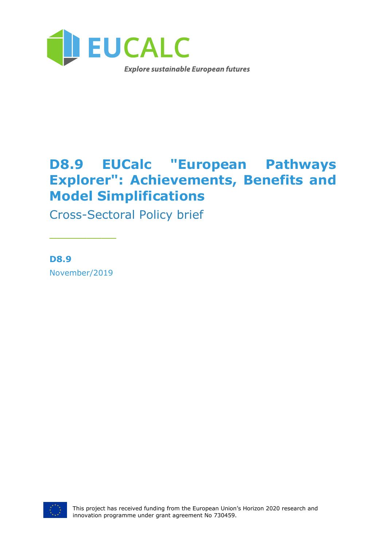

# **D8.9 EUCalc "European Pathways Explorer": Achievements, Benefits and Model Simplifications**

Cross-Sectoral Policy brief

**D8.9** November/2019

\_\_\_\_\_\_\_\_\_

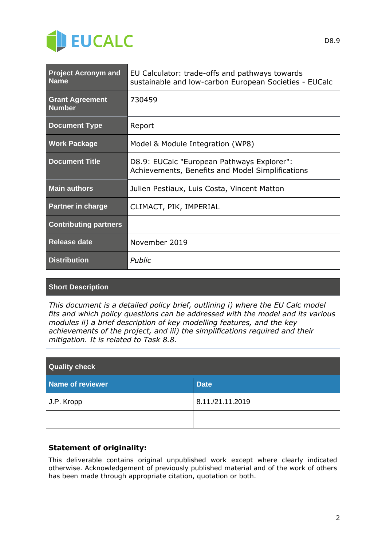

| <b>Project Acronym and</b><br><b>Name</b> | EU Calculator: trade-offs and pathways towards<br>sustainable and low-carbon European Societies - EUCalc |
|-------------------------------------------|----------------------------------------------------------------------------------------------------------|
| <b>Grant Agreement</b><br><b>Number</b>   | 730459                                                                                                   |
| <b>Document Type</b>                      | Report                                                                                                   |
| <b>Work Package</b>                       | Model & Module Integration (WP8)                                                                         |
| <b>Document Title</b>                     | D8.9: EUCalc "European Pathways Explorer":<br>Achievements, Benefits and Model Simplifications           |
| <b>Main authors</b>                       | Julien Pestiaux, Luis Costa, Vincent Matton                                                              |
| <b>Partner in charge</b>                  | CLIMACT, PIK, IMPERIAL                                                                                   |
| <b>Contributing partners</b>              |                                                                                                          |
| <b>Release date</b>                       | November 2019                                                                                            |
| <b>Distribution</b>                       | Public                                                                                                   |

### **Short Description**

*This document is a detailed policy brief, outlining i) where the EU Calc model fits and which policy questions can be addressed with the model and its various modules ii) a brief description of key modelling features, and the key achievements of the project, and iii) the simplifications required and their mitigation. It is related to Task 8.8.*

| <b>Quality check</b> |                  |  |
|----------------------|------------------|--|
| Name of reviewer     | <b>Date</b>      |  |
| J.P. Kropp           | 8.11./21.11.2019 |  |
|                      |                  |  |

### **Statement of originality:**

This deliverable contains original unpublished work except where clearly indicated otherwise. Acknowledgement of previously published material and of the work of others has been made through appropriate citation, quotation or both.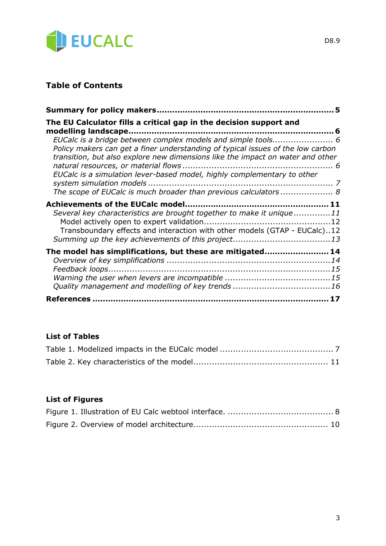

## **Table of Contents**

| The EU Calculator fills a critical gap in the decision support and                                                                                                                                                                                                                                                                                                              |  |
|---------------------------------------------------------------------------------------------------------------------------------------------------------------------------------------------------------------------------------------------------------------------------------------------------------------------------------------------------------------------------------|--|
| EUCalc is a bridge between complex models and simple tools 6<br>Policy makers can get a finer understanding of typical issues of the low carbon<br>transition, but also explore new dimensions like the impact on water and other<br>EUCalc is a simulation lever-based model, highly complementary to other<br>The scope of EUCalc is much broader than previous calculators 8 |  |
| Several key characteristics are brought together to make it unique11<br>Transboundary effects and interaction with other models (GTAP - EUCalc)12                                                                                                                                                                                                                               |  |
| The model has simplifications, but these are mitigated 14                                                                                                                                                                                                                                                                                                                       |  |
|                                                                                                                                                                                                                                                                                                                                                                                 |  |

### **List of Tables**

### **List of Figures**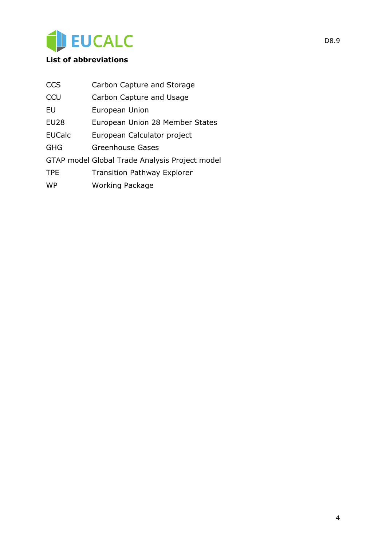

### **List of abbreviations**

| <b>CCS</b>    | Carbon Capture and Storage                     |
|---------------|------------------------------------------------|
| CCU           | Carbon Capture and Usage                       |
| EU            | European Union                                 |
| <b>EU28</b>   | European Union 28 Member States                |
| <b>EUCalc</b> | European Calculator project                    |
| GHG           | Greenhouse Gases                               |
|               | GTAP model Global Trade Analysis Project model |
| <b>TPE</b>    | <b>Transition Pathway Explorer</b>             |
| <b>WP</b>     | <b>Working Package</b>                         |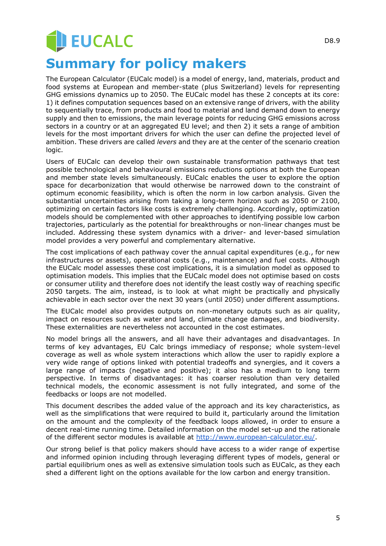# **JEUCALC Summary for policy makers**

The European Calculator (EUCalc model) is a model of energy, land, materials, product and food systems at European and member-state (plus Switzerland) levels for representing GHG emissions dynamics up to 2050. The EUCalc model has these 2 concepts at its core: 1) it defines computation sequences based on an extensive range of drivers, with the ability to sequentially trace, from products and food to material and land demand down to energy supply and then to emissions, the main leverage points for reducing GHG emissions across sectors in a country or at an aggregated EU level; and then 2) it sets a range of ambition levels for the most important drivers for which the user can define the projected level of ambition. These drivers are called *levers* and they are at the center of the scenario creation logic.

Users of EUCalc can develop their own sustainable transformation pathways that test possible technological and behavioural emissions reductions options at both the European and member state levels simultaneously. EUCalc enables the user to explore the option space for decarbonization that would otherwise be narrowed down to the constraint of optimum economic feasibility, which is often the norm in low carbon analysis. Given the substantial uncertainties arising from taking a long-term horizon such as 2050 or 2100, optimizing on certain factors like costs is extremely challenging. Accordingly, optimization models should be complemented with other approaches to identifying possible low carbon trajectories, particularly as the potential for breakthroughs or non-linear changes must be included. Addressing these system dynamics with a driver- and lever-based simulation model provides a very powerful and complementary alternative.

The cost implications of each pathway cover the annual capital expenditures (e.g., for new infrastructures or assets), operational costs (e.g., maintenance) and fuel costs. Although the EUCalc model assesses these cost implications, it is a simulation model as opposed to optimisation models. This implies that the EUCalc model does not optimise based on costs or consumer utility and therefore does not identify the least costly way of reaching specific 2050 targets. The aim, instead, is to look at what might be practically and physically achievable in each sector over the next 30 years (until 2050) under different assumptions.

The EUCalc model also provides outputs on non-monetary outputs such as air quality, impact on resources such as water and land, climate change damages, and biodiversity. These externalities are nevertheless not accounted in the cost estimates.

No model brings all the answers, and all have their advantages and disadvantages. In terms of key advantages, EU Calc brings immediacy of response; whole system-level coverage as well as whole system interactions which allow the user to rapidly explore a very wide range of options linked with potential tradeoffs and synergies, and it covers a large range of impacts (negative and positive); it also has a medium to long term perspective. In terms of disadvantages: it has coarser resolution than very detailed technical models, the economic assessment is not fully integrated, and some of the feedbacks or loops are not modelled.

This document describes the added value of the approach and its key characteristics, as well as the simplifications that were required to build it, particularly around the limitation on the amount and the complexity of the feedback loops allowed, in order to ensure a decent real-time running time. Detailed information on the model set-up and the rationale of the different sector modules is available at [http://www.european-calculator.eu/.](http://www.european-calculator.eu/)

Our strong belief is that policy makers should have access to a wider range of expertise and informed opinion including through leveraging different types of models, general or partial equilibrium ones as well as extensive simulation tools such as EUCalc, as they each shed a different light on the options available for the low carbon and energy transition.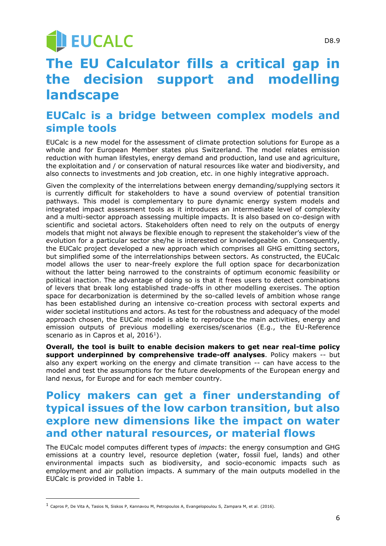# **U EUCALC**

# **The EU Calculator fills a critical gap in the decision support and modelling landscape**

# **EUCalc is a bridge between complex models and simple tools**

EUCalc is a new model for the assessment of climate protection solutions for Europe as a whole and for European Member states plus Switzerland. The model relates emission reduction with human lifestyles, energy demand and production, land use and agriculture, the exploitation and / or conservation of natural resources like water and biodiversity, and also connects to investments and job creation, etc. in one highly integrative approach.

Given the complexity of the interrelations between energy demanding/supplying sectors it is currently difficult for stakeholders to have a sound overview of potential transition pathways. This model is complementary to pure dynamic energy system models and integrated impact assessment tools as it introduces an intermediate level of complexity and a multi-sector approach assessing multiple impacts. It is also based on co-design with scientific and societal actors. Stakeholders often need to rely on the outputs of energy models that might not always be flexible enough to represent the stakeholder's view of the evolution for a particular sector she/he is interested or knowledgeable on. Consequently, the EUCalc project developed a new approach which comprises all GHG emitting sectors, but simplified some of the interrelationships between sectors. As constructed, the EUCalc model allows the user to near-freely explore the full option space for decarbonization without the latter being narrowed to the constraints of optimum economic feasibility or political inaction. The advantage of doing so is that it frees users to detect combinations of levers that break long established trade-offs in other modelling exercises. The option space for decarbonization is determined by the so-called levels of ambition whose range has been established during an intensive co-creation process with sectoral experts and wider societal institutions and actors. As test for the robustness and adequacy of the model approach chosen, the EUCalc model is able to reproduce the main activities, energy and emission outputs of previous modelling exercises/scenarios (E.g., the EU-Reference scenario as in Capros et al, 2016<sup>1</sup>).

**Overall, the tool is built to enable decision makers to get near real-time policy support underpinned by comprehensive trade-off analyses**. Policy makers -- but also any expert working on the energy and climate transition -- can have access to the model and test the assumptions for the future developments of the European energy and land nexus, for Europe and for each member country.

## **Policy makers can get a finer understanding of typical issues of the low carbon transition, but also explore new dimensions like the impact on water and other natural resources, or material flows**

The EUCalc model computes different types of *impacts*: the energy consumption and GHG emissions at a country level, resource depletion (water, fossil fuel, lands) and other environmental impacts such as biodiversity, and socio-economic impacts such as employment and air pollution impacts. A summary of the main outputs modelled in the EUCalc is provided in Table 1.

 $<sup>1</sup>$  Capros P, De Vita A, Tasios N, Siskos P, Kannavou M, Petropoulos A, Evangelopoulou S, Zampara M, et al. (2016).</sup>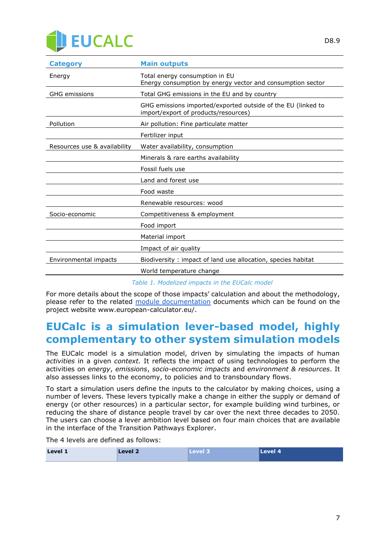

| Total energy consumption in EU<br>Energy consumption by energy vector and consumption sector         |  |
|------------------------------------------------------------------------------------------------------|--|
| Total GHG emissions in the EU and by country                                                         |  |
| GHG emissions imported/exported outside of the EU (linked to<br>import/export of products/resources) |  |
| Air pollution: Fine particulate matter                                                               |  |
| Fertilizer input                                                                                     |  |
| Resources use & availability<br>Water availability, consumption                                      |  |
| Minerals & rare earths availability                                                                  |  |
| Fossil fuels use                                                                                     |  |
| Land and forest use                                                                                  |  |
| Food waste                                                                                           |  |
| Renewable resources: wood                                                                            |  |
| Competitiveness & employment                                                                         |  |
| Food import                                                                                          |  |
| Material import                                                                                      |  |
| Impact of air quality                                                                                |  |
| Biodiversity: impact of land use allocation, species habitat                                         |  |
| World temperature change                                                                             |  |
|                                                                                                      |  |

*Table 1. Modelized impacts in the EUCalc model*

For more details about the scope of those impacts' calculation and about the methodology, please refer to the related [module documentation](http://www.european-calculator.eu/documentation/) documents which can be found on the project website www.european-calculator.eu/.

## **EUCalc is a simulation lever-based model, highly complementary to other system simulation models**

The EUCalc model is a simulation model, driven by simulating the impacts of human *activities* in a given *context.* It reflects the impact of using technologies to perform the activities on *energy*, *emissions*, *socio-economic impacts* and *environment & resources*. It also assesses links to the economy, to policies and to transboundary flows.

To start a simulation users define the inputs to the calculator by making choices, using a number of levers. These levers typically make a change in either the supply or demand of energy (or other resources) in a particular sector, for example building wind turbines, or reducing the share of distance people travel by car over the next three decades to 2050. The users can choose a lever ambition level based on four main choices that are available in the interface of the Transition Pathways Explorer.

The 4 levels are defined as follows:

| Level 1 | Level 2<br>____ | <b>Level</b> 3 | Level 4 |
|---------|-----------------|----------------|---------|
|         |                 |                |         |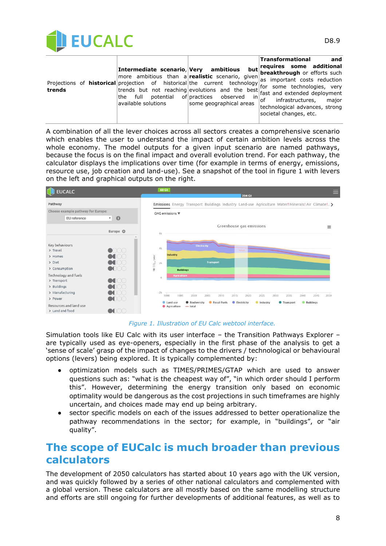

|        |                                                                                                                                                                                                                 |                                                                                      | <b>Transformational</b><br>and                                                                                                                                                                                                                                                                                |
|--------|-----------------------------------------------------------------------------------------------------------------------------------------------------------------------------------------------------------------|--------------------------------------------------------------------------------------|---------------------------------------------------------------------------------------------------------------------------------------------------------------------------------------------------------------------------------------------------------------------------------------------------------------|
| trends | Intermediate scenario, Very<br>more ambitious than a <b>realistic</b> scenario, given<br>Projections of <b>historical</b> projection of historical the current technology<br>full<br>the<br>available solutions | but<br>ambitious<br>in<br>potential of practices observed<br>some geographical areas | requires some additional<br><b>breakthrough</b> or efforts such<br>as important costs reduction<br>for some technologies, very<br>trends but not reaching evolutions and the best fast and extended deployment<br>infrastructures,<br>major<br>of<br>technological advances, strong<br>societal changes, etc. |

A combination of all the lever choices across all sectors creates a comprehensive scenario which enables the user to understand the impact of certain ambition levels across the whole economy. The model outputs for a given input scenario are named pathways, because the focus is on the final impact and overall evolution trend. For each pathway, the calculator displays the implications over time (for example in terms of energy, emissions, resource use, job creation and land-use). See a snapshot of the tool in figure 1 with levers on the left and graphical outputs on the right.



#### *Figure 1. Illustration of EU Calc webtool interface.*

Simulation tools like EU Calc with its user interface – the Transition Pathways Explorer – are typically used as eye-openers, especially in the first phase of the analysis to get a 'sense of scale' grasp of the impact of changes to the drivers / technological or behavioural options (levers) being explored. It is typically complemented by:

- optimization models such as TIMES/PRIMES/GTAP which are used to answer questions such as: "what is the cheapest way of", "in which order should I perform this". However, determining the energy transition only based on economic optimality would be dangerous as the cost projections in such timeframes are highly uncertain, and choices made may end up being arbitrary.
- sector specific models on each of the issues addressed to better operationalize the pathway recommendations in the sector; for example, in "buildings", or "air quality".

## **The scope of EUCalc is much broader than previous calculators**

The development of 2050 calculators has started about 10 years ago with the UK version, and was quickly followed by a series of other national calculators and complemented with a global version. These calculators are all mostly based on the same modelling structure and efforts are still ongoing for further developments of additional features, as well as to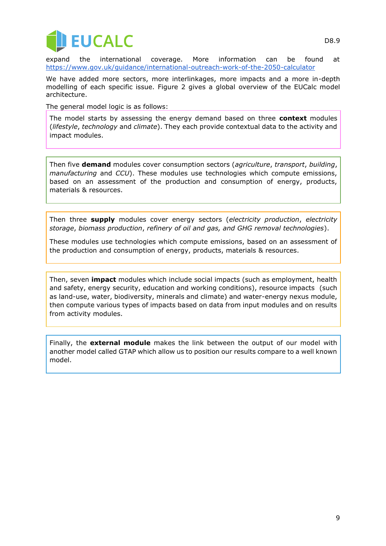

expand the international coverage. More information can be found at <https://www.gov.uk/guidance/international-outreach-work-of-the-2050-calculator>

We have added more sectors, more interlinkages, more impacts and a more in-depth modelling of each specific issue. Figure 2 gives a global overview of the EUCalc model architecture.

The general model logic is as follows:

The model starts by assessing the energy demand based on three **context** modules (*lifestyle*, *technology* and *climate*). They each provide contextual data to the activity and impact modules.

Then five **demand** modules cover consumption sectors (*agriculture*, *transport*, *building*, *manufacturing* and *CCU*). These modules use technologies which compute emissions, based on an assessment of the production and consumption of energy, products, materials & resources.

Then three **supply** modules cover energy sectors (*electricity production*, *electricity storage*, *biomass production*, *refinery of oil and gas, and GHG removal technologies*).

These modules use technologies which compute emissions, based on an assessment of the production and consumption of energy, products, materials & resources.

Then, seven **impact** modules which include social impacts (such as employment, health and safety, energy security, education and working conditions), resource impacts (such as land-use, water, biodiversity, minerals and climate) and water-energy nexus module, then compute various types of impacts based on data from input modules and on results from activity modules.

Finally, the **external module** makes the link between the output of our model with another model called GTAP which allow us to position our results compare to a well known model.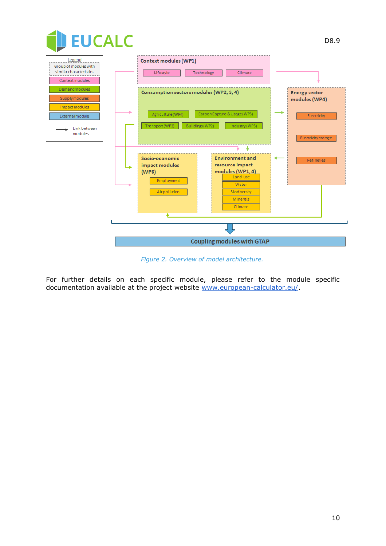

*Figure 2. Overview of model architecture.*

For further details on each specific module, please refer to the module specific documentation available at the project website [www.european-calculator.eu/.](http://www.european-calculator.eu/)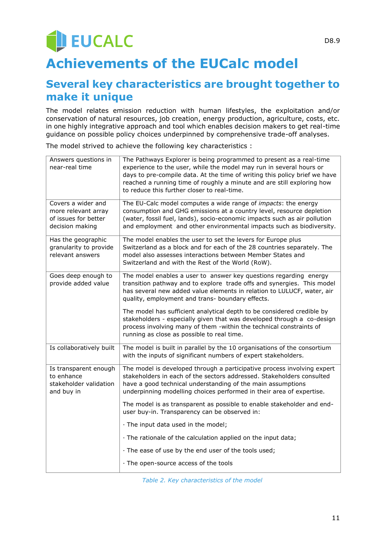# EUCALC **Achievements of the EUCalc model**

D8.9

## **Several key characteristics are brought together to make it unique**

The model relates emission reduction with human lifestyles, the exploitation and/or conservation of natural resources, job creation, energy production, agriculture, costs, etc. in one highly integrative approach and tool which enables decision makers to get real-time guidance on possible policy choices underpinned by comprehensive trade-off analyses.

The model strived to achieve the following key characteristics :

| Answers questions in<br>near-real time                                               | The Pathways Explorer is being programmed to present as a real-time<br>experience to the user, while the model may run in several hours or<br>days to pre-compile data. At the time of writing this policy brief we have<br>reached a running time of roughly a minute and are still exploring how<br>to reduce this further closer to real-time. |
|--------------------------------------------------------------------------------------|---------------------------------------------------------------------------------------------------------------------------------------------------------------------------------------------------------------------------------------------------------------------------------------------------------------------------------------------------|
| Covers a wider and<br>more relevant array<br>of issues for better<br>decision making | The EU-Calc model computes a wide range of <i>impacts</i> : the energy<br>consumption and GHG emissions at a country level, resource depletion<br>(water, fossil fuel, lands), socio-economic impacts such as air pollution<br>and employment and other environmental impacts such as biodiversity.                                               |
| Has the geographic<br>granularity to provide<br>relevant answers                     | The model enables the user to set the levers for Europe plus<br>Switzerland as a block and for each of the 28 countries separately. The<br>model also assesses interactions between Member States and<br>Switzerland and with the Rest of the World (RoW).                                                                                        |
| Goes deep enough to<br>provide added value                                           | The model enables a user to answer key questions regarding energy<br>transition pathway and to explore trade offs and synergies. This model<br>has several new added value elements in relation to LULUCF, water, air<br>quality, employment and trans- boundary effects.                                                                         |
|                                                                                      | The model has sufficient analytical depth to be considered credible by<br>stakeholders - especially given that was developed through a co-design<br>process involving many of them -within the technical constraints of<br>running as close as possible to real time.                                                                             |
| Is collaboratively built                                                             | The model is built in parallel by the 10 organisations of the consortium<br>with the inputs of significant numbers of expert stakeholders.                                                                                                                                                                                                        |
| Is transparent enough<br>to enhance<br>stakeholder validation<br>and buy in          | The model is developed through a participative process involving expert<br>stakeholders in each of the sectors addressed. Stakeholders consulted<br>have a good technical understanding of the main assumptions<br>underpinning modelling choices performed in their area of expertise.                                                           |
|                                                                                      | The model is as transparent as possible to enable stakeholder and end-<br>user buy-in. Transparency can be observed in:                                                                                                                                                                                                                           |
|                                                                                      | · The input data used in the model;                                                                                                                                                                                                                                                                                                               |
|                                                                                      | · The rationale of the calculation applied on the input data;                                                                                                                                                                                                                                                                                     |
|                                                                                      | · The ease of use by the end user of the tools used;                                                                                                                                                                                                                                                                                              |
|                                                                                      | · The open-source access of the tools                                                                                                                                                                                                                                                                                                             |

*Table 2. Key characteristics of the model*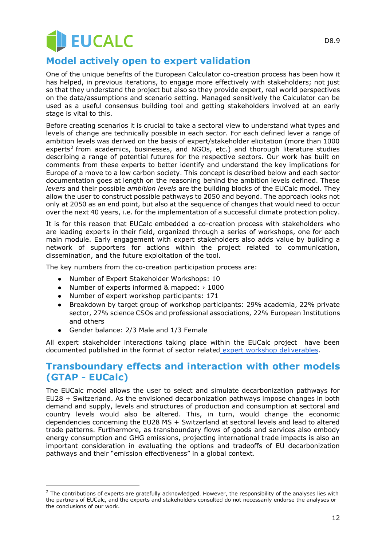![](_page_11_Picture_0.jpeg)

## **Model actively open to expert validation**

One of the unique benefits of the European Calculator co-creation process has been how it has helped, in previous iterations, to engage more effectively with stakeholders; not just so that they understand the project but also so they provide expert, real world perspectives on the data/assumptions and scenario setting. Managed sensitively the Calculator can be used as a useful consensus building tool and getting stakeholders involved at an early stage is vital to this.

Before creating scenarios it is crucial to take a sectoral view to understand what types and levels of change are technically possible in each sector. For each defined lever a range of ambition levels was derived on the basis of expert/stakeholder elicitation (more than 1000 experts<sup>2</sup> from academics, businesses, and NGOs, etc.) and thorough literature studies describing a range of potential futures for the respective sectors. Our work has built on comments from these experts to better identify and understand the key implications for Europe of a move to a low carbon society. This concept is described below and each sector documentation goes at length on the reasoning behind the ambition levels defined. These *levers* and their possible *ambition levels* are the building blocks of the EUCalc model. They allow the user to construct possible pathways to 2050 and beyond. The approach looks not only at 2050 as an end point, but also at the sequence of changes that would need to occur over the next 40 years, i.e. for the implementation of a successful climate protection policy.

It is for this reason that EUCalc embedded a co-creation process with stakeholders who are leading experts in their field, organized through a series of workshops, one for each main module. Early engagement with expert stakeholders also adds value by building a network of supporters for actions within the project related to communication, dissemination, and the future exploitation of the tool.

The key numbers from the co-creation participation process are:

- Number of Expert Stakeholder Workshops: 10
- Number of experts informed & mapped: › 1000
- Number of expert workshop participants: 171
- Breakdown by target group of workshop participants: 29% academia, 22% private sector, 27% science CSOs and professional associations, 22% European Institutions and others
- Gender balance: 2/3 Male and 1/3 Female

All expert stakeholder interactions taking place within the EUCalc project have been documented published in the format of sector related [expert workshop deliverables.](http://www.european-calculator.eu/deliverables/)

## **Transboundary effects and interaction with other models (GTAP - EUCalc)**

The EUCalc model allows the user to select and simulate decarbonization pathways for EU28 + Switzerland. As the envisioned decarbonization pathways impose changes in both demand and supply, levels and structures of production and consumption at sectoral and country levels would also be altered. This, in turn, would change the economic dependencies concerning the EU28 MS + Switzerland at sectoral levels and lead to altered trade patterns. Furthermore, as transboundary flows of goods and services also embody energy consumption and GHG emissions, projecting international trade impacts is also an important consideration in evaluating the options and tradeoffs of EU decarbonization pathways and their "emission effectiveness" in a global context.

D8.9

 $<sup>2</sup>$  The contributions of experts are gratefully acknowledged. However, the responsibility of the analyses lies with</sup> the partners of EUCalc, and the experts and stakeholders consulted do not necessarily endorse the analyses or the conclusions of our work.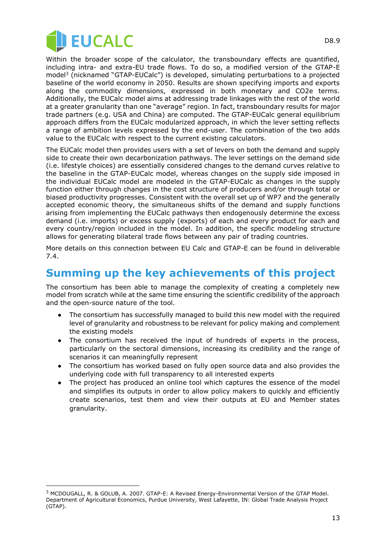![](_page_12_Picture_0.jpeg)

Within the broader scope of the calculator, the transboundary effects are quantified, including intra- and extra-EU trade flows. To do so, a modified version of the GTAP-E model<sup>3</sup> (nicknamed "GTAP-EUCalc") is developed, simulating perturbations to a projected baseline of the world economy in 2050. Results are shown specifying imports and exports along the commodity dimensions, expressed in both monetary and CO2e terms. Additionally, the EUCalc model aims at addressing trade linkages with the rest of the world at a greater granularity than one "average" region. In fact, transboundary results for major trade partners (e.g. USA and China) are computed. The GTAP-EUCalc general equilibrium approach differs from the EUCalc modularized approach, in which the lever setting reflects a range of ambition levels expressed by the end-user. The combination of the two adds value to the EUCalc with respect to the current existing calculators.

The EUCalc model then provides users with a set of levers on both the demand and supply side to create their own decarbonization pathways. The lever settings on the demand side (i.e. lifestyle choices) are essentially considered changes to the demand curves relative to the baseline in the GTAP-EUCalc model, whereas changes on the supply side imposed in the individual EUCalc model are modeled in the GTAP-EUCalc as changes in the supply function either through changes in the cost structure of producers and/or through total or biased productivity progresses. Consistent with the overall set up of WP7 and the generally accepted economic theory, the simultaneous shifts of the demand and supply functions arising from implementing the EUCalc pathways then endogenously determine the excess demand (i.e. imports) or excess supply (exports) of each and every product for each and every country/region included in the model. In addition, the specific modeling structure allows for generating bilateral trade flows between any pair of trading countries.

More details on this connection between EU Calc and GTAP-E can be found in deliverable 7.4.

## **Summing up the key achievements of this project**

The consortium has been able to manage the complexity of creating a completely new model from scratch while at the same time ensuring the scientific credibility of the approach and the open-source nature of the tool.

- The consortium has successfully managed to build this new model with the required level of granularity and robustness to be relevant for policy making and complement the existing models
- The consortium has received the input of hundreds of experts in the process, particularly on the sectoral dimensions, increasing its credibility and the range of scenarios it can meaningfully represent
- The consortium has worked based on fully open source data and also provides the underlying code with full transparency to all interested experts
- The project has produced an online tool which captures the essence of the model and simplifies its outputs in order to allow policy makers to quickly and efficiently create scenarios, test them and view their outputs at EU and Member states granularity.

<sup>3</sup> MCDOUGALL, R. & GOLUB, A. 2007. GTAP-E: A Revised Energy-Environmental Version of the GTAP Model. Department of Agricultural Economics, Purdue University, West Lafayette, IN: Global Trade Analysis Project (GTAP).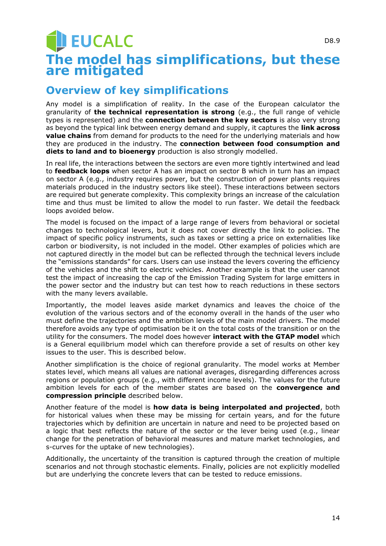## **DEUCALC** D8.9 **The model has simplifications, but these are mitigated**

# **Overview of key simplifications**

Any model is a simplification of reality. In the case of the European calculator the granularity of **the technical representation is strong** (e.g., the full range of vehicle types is represented) and the **connection between the key sectors** is also very strong as beyond the typical link between energy demand and supply, it captures the **link across value chains** from demand for products to the need for the underlying materials and how they are produced in the industry. The **connection between food consumption and diets to land and to bioenergy** production is also strongly modelled.

In real life, the interactions between the sectors are even more tightly intertwined and lead to **feedback loops** when sector A has an impact on sector B which in turn has an impact on sector A (e.g., industry requires power, but the construction of power plants requires materials produced in the industry sectors like steel). These interactions between sectors are required but generate complexity. This complexity brings an increase of the calculation time and thus must be limited to allow the model to run faster. We detail the feedback loops avoided below.

The model is focused on the impact of a large range of levers from behavioral or societal changes to technological levers, but it does not cover directly the link to policies. The impact of specific policy instruments, such as taxes or setting a price on externalities like carbon or biodiversity, is not included in the model. Other examples of policies which are not captured directly in the model but can be reflected through the technical levers include the "emissions standards" for cars. Users can use instead the levers covering the efficiency of the vehicles and the shift to electric vehicles. Another example is that the user cannot test the impact of increasing the cap of the Emission Trading System for large emitters in the power sector and the industry but can test how to reach reductions in these sectors with the many levers available.

Importantly, the model leaves aside market dynamics and leaves the choice of the evolution of the various sectors and of the economy overall in the hands of the user who must define the trajectories and the ambition levels of the main model drivers. The model therefore avoids any type of optimisation be it on the total costs of the transition or on the utility for the consumers. The model does however **interact with the GTAP model** which is a General equilibrium model which can therefore provide a set of results on other key issues to the user. This is described below.

Another simplification is the choice of regional granularity. The model works at Member states level, which means all values are national averages, disregarding differences across regions or population groups (e.g., with different income levels). The values for the future ambition levels for each of the member states are based on the **convergence and compression principle** described below.

Another feature of the model is **how data is being interpolated and projected**, both for historical values when these may be missing for certain years, and for the future trajectories which by definition are uncertain in nature and need to be projected based on a logic that best reflects the nature of the sector or the lever being used (e.g., linear change for the penetration of behavioral measures and mature market technologies, and s-curves for the uptake of new technologies).

Additionally, the uncertainty of the transition is captured through the creation of multiple scenarios and not through stochastic elements. Finally, policies are not explicitly modelled but are underlying the concrete levers that can be tested to reduce emissions.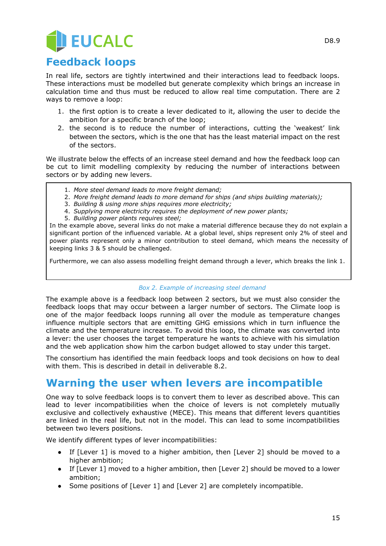# **EUCALC**

## **Feedback loops**

In real life, sectors are tightly intertwined and their interactions lead to feedback loops. These interactions must be modelled but generate complexity which brings an increase in calculation time and thus must be reduced to allow real time computation. There are 2 ways to remove a loop:

- 1. the first option is to create a lever dedicated to it, allowing the user to decide the ambition for a specific branch of the loop;
- 2. the second is to reduce the number of interactions, cutting the 'weakest' link between the sectors, which is the one that has the least material impact on the rest of the sectors.

We illustrate below the effects of an increase steel demand and how the feedback loop can be cut to limit modelling complexity by reducing the number of interactions between sectors or by adding new levers.

- 1. *More steel demand leads to more freight demand;*
- 2. *More freight demand leads to more demand for ships (and ships building materials);*
- 3. *Building & using more ships requires more electricity;*
- 4. *Supplying more electricity requires the deployment of new power plants;*
- 5. *Building power plants requires steel;*

In the example above, several links do not make a material difference because they do not explain a significant portion of the influenced variable. At a global level, ships represent only 2% of steel and power plants represent only a minor contribution to steel demand, which means the necessity of keeping links 3 & 5 should be challenged.

Furthermore, we can also assess modelling freight demand through a lever, which breaks the link 1.

#### *Box 2. Example of increasing steel demand*

The example above is a feedback loop between 2 sectors, but we must also consider the feedback loops that may occur between a larger number of sectors. The Climate loop is one of the major feedback loops running all over the module as temperature changes influence multiple sectors that are emitting GHG emissions which in turn influence the climate and the temperature increase. To avoid this loop, the climate was converted into a lever: the user chooses the target temperature he wants to achieve with his simulation and the web application show him the carbon budget allowed to stay under this target.

The consortium has identified the main feedback loops and took decisions on how to deal with them. This is described in detail in deliverable 8.2.

## **Warning the user when levers are incompatible**

One way to solve feedback loops is to convert them to lever as described above. This can lead to lever incompatibilities when the choice of levers is not completely mutually exclusive and collectively exhaustive (MECE). This means that different levers quantities are linked in the real life, but not in the model. This can lead to some incompatibilities between two levers positions.

We identify different types of lever incompatibilities:

- If [Lever 1] is moved to a higher ambition, then [Lever 2] should be moved to a higher ambition;
- If [Lever 1] moved to a higher ambition, then [Lever 2] should be moved to a lower ambition;
- Some positions of [Lever 1] and [Lever 2] are completely incompatible.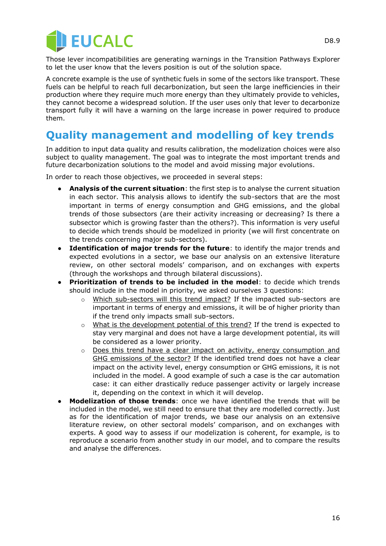![](_page_15_Picture_0.jpeg)

Those lever incompatibilities are generating warnings in the Transition Pathways Explorer to let the user know that the levers position is out of the solution space.

A concrete example is the use of synthetic fuels in some of the sectors like transport. These fuels can be helpful to reach full decarbonization, but seen the large inefficiencies in their production where they require much more energy than they ultimately provide to vehicles, they cannot become a widespread solution. If the user uses only that lever to decarbonize transport fully it will have a warning on the large increase in power required to produce them.

## **Quality management and modelling of key trends**

In addition to input data quality and results calibration, the modelization choices were also subject to quality management. The goal was to integrate the most important trends and future decarbonization solutions to the model and avoid missing major evolutions.

In order to reach those objectives, we proceeded in several steps:

- **Analysis of the current situation**: the first step is to analyse the current situation in each sector. This analysis allows to identify the sub-sectors that are the most important in terms of energy consumption and GHG emissions, and the global trends of those subsectors (are their activity increasing or decreasing? Is there a subsector which is growing faster than the others?). This information is very useful to decide which trends should be modelized in priority (we will first concentrate on the trends concerning major sub-sectors).
- **Identification of major trends for the future**: to identify the major trends and expected evolutions in a sector, we base our analysis on an extensive literature review, on other sectoral models' comparison, and on exchanges with experts (through the workshops and through bilateral discussions).
- **Prioritization of trends to be included in the model:** to decide which trends should include in the model in priority, we asked ourselves 3 questions:
	- o Which sub-sectors will this trend impact? If the impacted sub-sectors are important in terms of energy and emissions, it will be of higher priority than if the trend only impacts small sub-sectors.
	- o What is the development potential of this trend? If the trend is expected to stay very marginal and does not have a large development potential, its will be considered as a lower priority.
	- $\circ$  Does this trend have a clear impact on activity, energy consumption and GHG emissions of the sector? If the identified trend does not have a clear impact on the activity level, energy consumption or GHG emissions, it is not included in the model. A good example of such a case is the car automation case: it can either drastically reduce passenger activity or largely increase it, depending on the context in which it will develop.
- **Modelization of those trends**: once we have identified the trends that will be included in the model, we still need to ensure that they are modelled correctly. Just as for the identification of major trends, we base our analysis on an extensive literature review, on other sectoral models' comparison, and on exchanges with experts. A good way to assess if our modelization is coherent, for example, is to reproduce a scenario from another study in our model, and to compare the results and analyse the differences.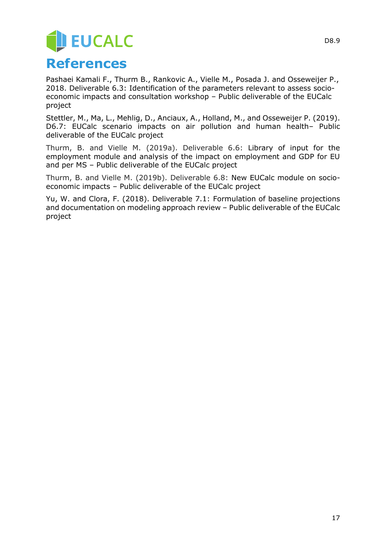# **JEUCALC References**

Pashaei Kamali F., Thurm B., Rankovic A., Vielle M., Posada J. and Osseweijer P., 2018. Deliverable 6.3: Identification of the parameters relevant to assess socioeconomic impacts and consultation workshop – Public deliverable of the EUCalc project

Stettler, M., Ma, L., Mehlig, D., Anciaux, A., Holland, M., and Osseweijer P. (2019). D6.7: EUCalc scenario impacts on air pollution and human health– Public deliverable of the EUCalc project

Thurm, B. and Vielle M. (2019a). Deliverable 6.6: Library of input for the employment module and analysis of the impact on employment and GDP for EU and per MS – Public deliverable of the EUCalc project

Thurm, B. and Vielle M. (2019b). Deliverable 6.8: New EUCalc module on socioeconomic impacts – Public deliverable of the EUCalc project

Yu, W. and Clora, F. (2018). Deliverable 7.1: Formulation of baseline projections and documentation on modeling approach review – Public deliverable of the EUCalc project